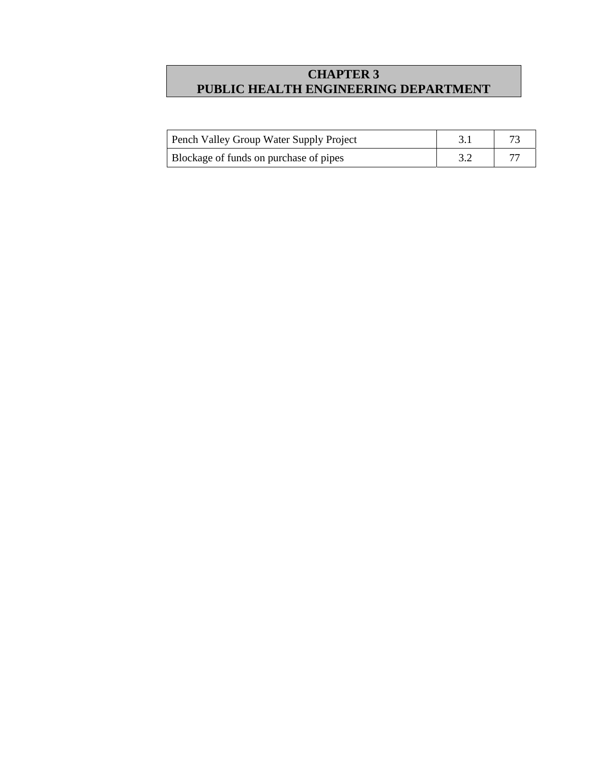# **CHAPTER 3 PUBLIC HEALTH ENGINEERING DEPARTMENT**

| Pench Valley Group Water Supply Project |  |
|-----------------------------------------|--|
| Blockage of funds on purchase of pipes  |  |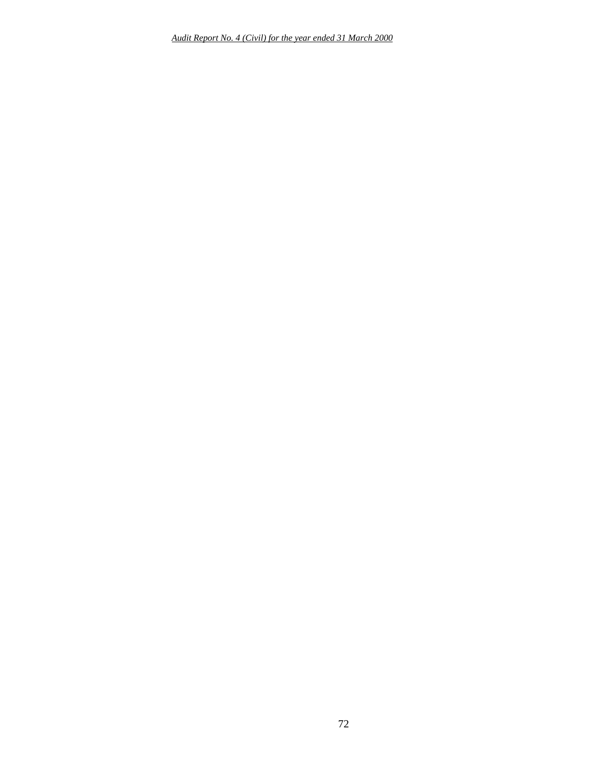*Audit Report No. 4 (Civil) for the year ended 31 March 2000*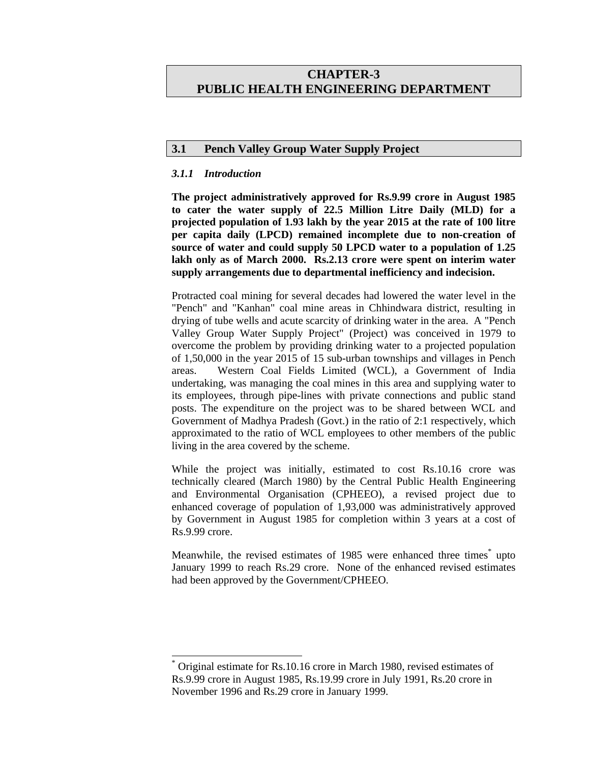# **CHAPTER-3 PUBLIC HEALTH ENGINEERING DEPARTMENT**

## **3.1 Pench Valley Group Water Supply Project**

#### *3.1.1 Introduction*

l

**The project administratively approved for Rs.9.99 crore in August 1985 to cater the water supply of 22.5 Million Litre Daily (MLD) for a projected population of 1.93 lakh by the year 2015 at the rate of 100 litre per capita daily (LPCD) remained incomplete due to non-creation of source of water and could supply 50 LPCD water to a population of 1.25 lakh only as of March 2000. Rs.2.13 crore were spent on interim water supply arrangements due to departmental inefficiency and indecision.** 

Protracted coal mining for several decades had lowered the water level in the "Pench" and "Kanhan" coal mine areas in Chhindwara district, resulting in drying of tube wells and acute scarcity of drinking water in the area. A "Pench Valley Group Water Supply Project" (Project) was conceived in 1979 to overcome the problem by providing drinking water to a projected population of 1,50,000 in the year 2015 of 15 sub-urban townships and villages in Pench areas. Western Coal Fields Limited (WCL), a Government of India undertaking, was managing the coal mines in this area and supplying water to its employees, through pipe-lines with private connections and public stand posts. The expenditure on the project was to be shared between WCL and Government of Madhya Pradesh (Govt.) in the ratio of 2:1 respectively, which approximated to the ratio of WCL employees to other members of the public living in the area covered by the scheme.

While the project was initially, estimated to cost Rs.10.16 crore was technically cleared (March 1980) by the Central Public Health Engineering and Environmental Organisation (CPHEEO), a revised project due to enhanced coverage of population of 1,93,000 was administratively approved by Government in August 1985 for completion within 3 years at a cost of Rs.9.99 crore.

Meanwhile, the revised estimates of 1985 were enhanced three times<sup>\*</sup> upto January 1999 to reach Rs.29 crore. None of the enhanced revised estimates had been approved by the Government/CPHEEO.

<sup>\*</sup> Original estimate for Rs.10.16 crore in March 1980, revised estimates of Rs.9.99 crore in August 1985, Rs.19.99 crore in July 1991, Rs.20 crore in November 1996 and Rs.29 crore in January 1999.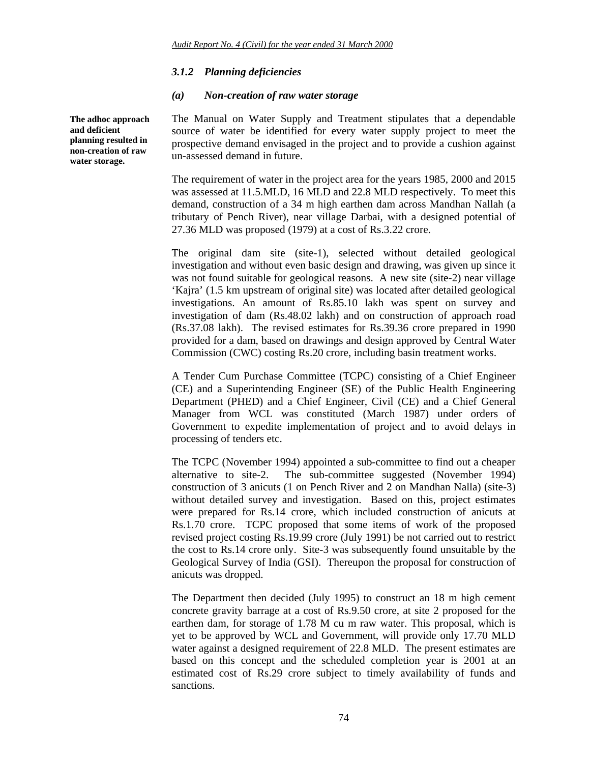#### *3.1.2 Planning deficiencies*

#### *(a) Non-creation of raw water storage*

**The adhoc approach and deficient planning resulted in non-creation of raw water storage.** 

The Manual on Water Supply and Treatment stipulates that a dependable source of water be identified for every water supply project to meet the prospective demand envisaged in the project and to provide a cushion against un-assessed demand in future.

The requirement of water in the project area for the years 1985, 2000 and 2015 was assessed at 11.5.MLD, 16 MLD and 22.8 MLD respectively. To meet this demand, construction of a 34 m high earthen dam across Mandhan Nallah (a tributary of Pench River), near village Darbai, with a designed potential of 27.36 MLD was proposed (1979) at a cost of Rs.3.22 crore.

The original dam site (site-1), selected without detailed geological investigation and without even basic design and drawing, was given up since it was not found suitable for geological reasons. A new site (site-2) near village 'Kajra' (1.5 km upstream of original site) was located after detailed geological investigations. An amount of Rs.85.10 lakh was spent on survey and investigation of dam (Rs.48.02 lakh) and on construction of approach road (Rs.37.08 lakh). The revised estimates for Rs.39.36 crore prepared in 1990 provided for a dam, based on drawings and design approved by Central Water Commission (CWC) costing Rs.20 crore, including basin treatment works.

A Tender Cum Purchase Committee (TCPC) consisting of a Chief Engineer (CE) and a Superintending Engineer (SE) of the Public Health Engineering Department (PHED) and a Chief Engineer, Civil (CE) and a Chief General Manager from WCL was constituted (March 1987) under orders of Government to expedite implementation of project and to avoid delays in processing of tenders etc.

The TCPC (November 1994) appointed a sub-committee to find out a cheaper alternative to site-2. The sub-committee suggested (November 1994) construction of 3 anicuts (1 on Pench River and 2 on Mandhan Nalla) (site-3) without detailed survey and investigation. Based on this, project estimates were prepared for Rs.14 crore, which included construction of anicuts at Rs.1.70 crore. TCPC proposed that some items of work of the proposed revised project costing Rs.19.99 crore (July 1991) be not carried out to restrict the cost to Rs.14 crore only. Site-3 was subsequently found unsuitable by the Geological Survey of India (GSI). Thereupon the proposal for construction of anicuts was dropped.

The Department then decided (July 1995) to construct an 18 m high cement concrete gravity barrage at a cost of Rs.9.50 crore, at site 2 proposed for the earthen dam, for storage of 1.78 M cu m raw water. This proposal, which is yet to be approved by WCL and Government, will provide only 17.70 MLD water against a designed requirement of 22.8 MLD. The present estimates are based on this concept and the scheduled completion year is 2001 at an estimated cost of Rs.29 crore subject to timely availability of funds and sanctions.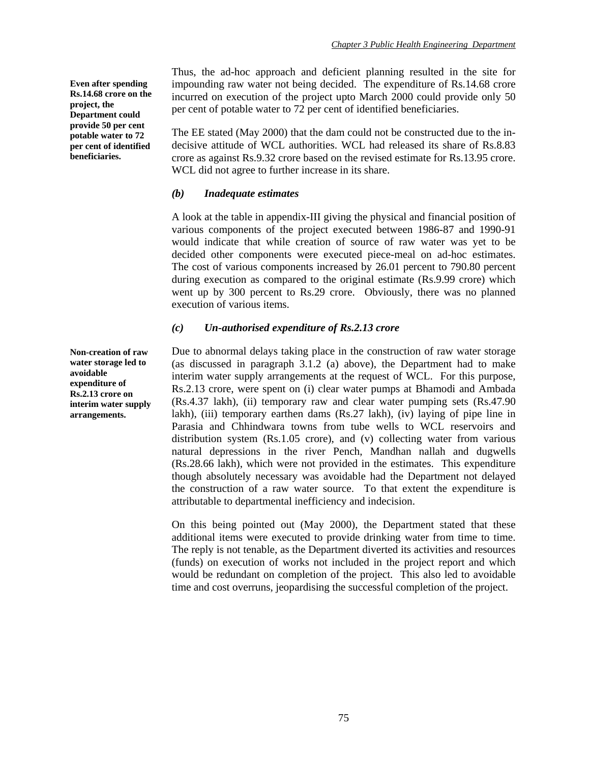**Even after spending Rs.14.68 crore on the project, the Department could provide 50 per cent potable water to 72 per cent of identified beneficiaries.** 

Thus, the ad-hoc approach and deficient planning resulted in the site for impounding raw water not being decided. The expenditure of Rs.14.68 crore incurred on execution of the project upto March 2000 could provide only 50 per cent of potable water to 72 per cent of identified beneficiaries.

The EE stated (May 2000) that the dam could not be constructed due to the indecisive attitude of WCL authorities. WCL had released its share of Rs.8.83 crore as against Rs.9.32 crore based on the revised estimate for Rs.13.95 crore. WCL did not agree to further increase in its share.

#### *(b) Inadequate estimates*

A look at the table in appendix-III giving the physical and financial position of various components of the project executed between 1986-87 and 1990-91 would indicate that while creation of source of raw water was yet to be decided other components were executed piece-meal on ad-hoc estimates. The cost of various components increased by 26.01 percent to 790.80 percent during execution as compared to the original estimate (Rs.9.99 crore) which went up by 300 percent to Rs.29 crore. Obviously, there was no planned execution of various items.

#### *(c) Un-authorised expenditure of Rs.2.13 crore*

Due to abnormal delays taking place in the construction of raw water storage (as discussed in paragraph 3.1.2 (a) above), the Department had to make interim water supply arrangements at the request of WCL. For this purpose, Rs.2.13 crore, were spent on (i) clear water pumps at Bhamodi and Ambada (Rs.4.37 lakh), (ii) temporary raw and clear water pumping sets (Rs.47.90 lakh), (iii) temporary earthen dams (Rs.27 lakh), (iv) laying of pipe line in Parasia and Chhindwara towns from tube wells to WCL reservoirs and distribution system (Rs.1.05 crore), and (v) collecting water from various natural depressions in the river Pench, Mandhan nallah and dugwells (Rs.28.66 lakh), which were not provided in the estimates. This expenditure though absolutely necessary was avoidable had the Department not delayed the construction of a raw water source. To that extent the expenditure is attributable to departmental inefficiency and indecision.

On this being pointed out (May 2000), the Department stated that these additional items were executed to provide drinking water from time to time. The reply is not tenable, as the Department diverted its activities and resources (funds) on execution of works not included in the project report and which would be redundant on completion of the project. This also led to avoidable time and cost overruns, jeopardising the successful completion of the project.

**Non-creation of raw water storage led to avoidable expenditure of Rs.2.13 crore on interim water supply arrangements.**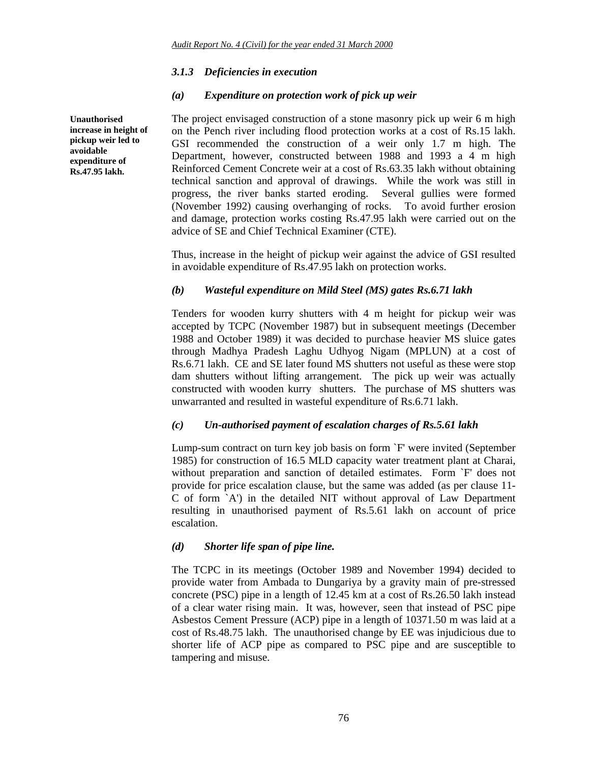#### *3.1.3 Deficiencies in execution*

#### *(a) Expenditure on protection work of pick up weir*

The project envisaged construction of a stone masonry pick up weir 6 m high on the Pench river including flood protection works at a cost of Rs.15 lakh. GSI recommended the construction of a weir only 1.7 m high. The Department, however, constructed between 1988 and 1993 a 4 m high Reinforced Cement Concrete weir at a cost of Rs.63.35 lakh without obtaining technical sanction and approval of drawings. While the work was still in progress, the river banks started eroding. Several gullies were formed (November 1992) causing overhanging of rocks. To avoid further erosion and damage, protection works costing Rs.47.95 lakh were carried out on the advice of SE and Chief Technical Examiner (CTE).

Thus, increase in the height of pickup weir against the advice of GSI resulted in avoidable expenditure of Rs.47.95 lakh on protection works.

#### *(b) Wasteful expenditure on Mild Steel (MS) gates Rs.6.71 lakh*

Tenders for wooden kurry shutters with 4 m height for pickup weir was accepted by TCPC (November 1987) but in subsequent meetings (December 1988 and October 1989) it was decided to purchase heavier MS sluice gates through Madhya Pradesh Laghu Udhyog Nigam (MPLUN) at a cost of Rs.6.71 lakh. CE and SE later found MS shutters not useful as these were stop dam shutters without lifting arrangement. The pick up weir was actually constructed with wooden kurry shutters. The purchase of MS shutters was unwarranted and resulted in wasteful expenditure of Rs.6.71 lakh.

#### *(c) Un-authorised payment of escalation charges of Rs.5.61 lakh*

Lump-sum contract on turn key job basis on form `F' were invited (September 1985) for construction of 16.5 MLD capacity water treatment plant at Charai, without preparation and sanction of detailed estimates. Form `F' does not provide for price escalation clause, but the same was added (as per clause 11- C of form `A') in the detailed NIT without approval of Law Department resulting in unauthorised payment of Rs.5.61 lakh on account of price escalation.

#### *(d) Shorter life span of pipe line.*

The TCPC in its meetings (October 1989 and November 1994) decided to provide water from Ambada to Dungariya by a gravity main of pre-stressed concrete (PSC) pipe in a length of 12.45 km at a cost of Rs.26.50 lakh instead of a clear water rising main. It was, however, seen that instead of PSC pipe Asbestos Cement Pressure (ACP) pipe in a length of 10371.50 m was laid at a cost of Rs.48.75 lakh. The unauthorised change by EE was injudicious due to shorter life of ACP pipe as compared to PSC pipe and are susceptible to tampering and misuse.

**Unauthorised increase in height of pickup weir led to avoidable expenditure of Rs.47.95 lakh.**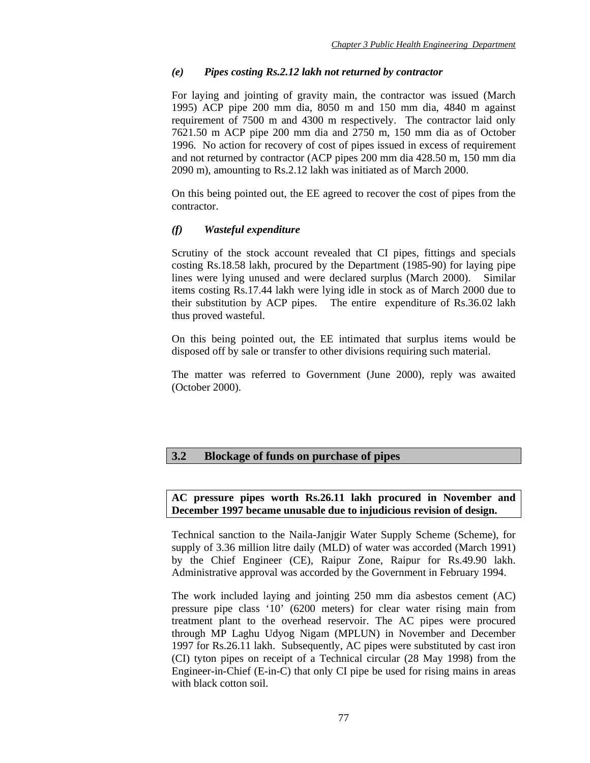# *(e) Pipes costing Rs.2.12 lakh not returned by contractor*

For laying and jointing of gravity main, the contractor was issued (March 1995) ACP pipe 200 mm dia, 8050 m and 150 mm dia, 4840 m against requirement of 7500 m and 4300 m respectively. The contractor laid only 7621.50 m ACP pipe 200 mm dia and 2750 m, 150 mm dia as of October 1996. No action for recovery of cost of pipes issued in excess of requirement and not returned by contractor (ACP pipes 200 mm dia 428.50 m, 150 mm dia 2090 m), amounting to Rs.2.12 lakh was initiated as of March 2000.

On this being pointed out, the EE agreed to recover the cost of pipes from the contractor.

## *(f) Wasteful expenditure*

Scrutiny of the stock account revealed that CI pipes, fittings and specials costing Rs.18.58 lakh, procured by the Department (1985-90) for laying pipe lines were lying unused and were declared surplus (March 2000). Similar items costing Rs.17.44 lakh were lying idle in stock as of March 2000 due to their substitution by ACP pipes. The entire expenditure of Rs.36.02 lakh thus proved wasteful.

On this being pointed out, the EE intimated that surplus items would be disposed off by sale or transfer to other divisions requiring such material.

The matter was referred to Government (June 2000), reply was awaited (October 2000).

# **3.2 Blockage of funds on purchase of pipes**

### **AC pressure pipes worth Rs.26.11 lakh procured in November and December 1997 became unusable due to injudicious revision of design.**

Technical sanction to the Naila-Janjgir Water Supply Scheme (Scheme), for supply of 3.36 million litre daily (MLD) of water was accorded (March 1991) by the Chief Engineer (CE), Raipur Zone, Raipur for Rs.49.90 lakh. Administrative approval was accorded by the Government in February 1994.

The work included laying and jointing 250 mm dia asbestos cement (AC) pressure pipe class '10' (6200 meters) for clear water rising main from treatment plant to the overhead reservoir. The AC pipes were procured through MP Laghu Udyog Nigam (MPLUN) in November and December 1997 for Rs.26.11 lakh. Subsequently, AC pipes were substituted by cast iron (CI) tyton pipes on receipt of a Technical circular (28 May 1998) from the Engineer-in-Chief (E-in-C) that only CI pipe be used for rising mains in areas with black cotton soil.